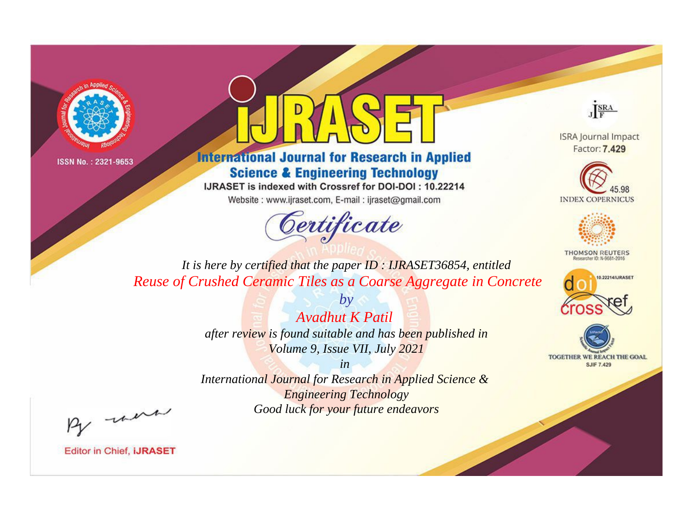



**International Journal for Research in Applied Science & Engineering Technology** 

IJRASET is indexed with Crossref for DOI-DOI: 10.22214

Website: www.ijraset.com, E-mail: ijraset@gmail.com



JERA

**ISRA Journal Impact** Factor: 7.429





**THOMSON REUTERS** 



TOGETHER WE REACH THE GOAL **SJIF 7.429** 

*It is here by certified that the paper ID : IJRASET36854, entitled Reuse of Crushed Ceramic Tiles as a Coarse Aggregate in Concrete*

> *Avadhut K Patil after review is found suitable and has been published in Volume 9, Issue VII, July 2021*

*by*

*in* 

*International Journal for Research in Applied Science & Engineering Technology Good luck for your future endeavors*

By morn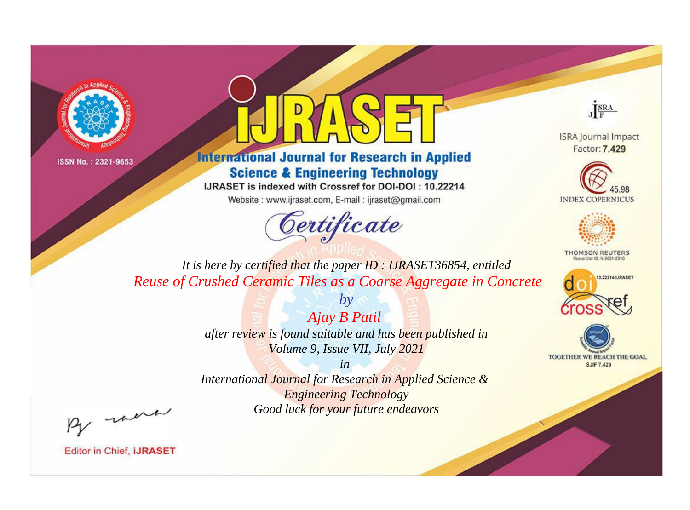



**International Journal for Research in Applied Science & Engineering Technology** 

IJRASET is indexed with Crossref for DOI-DOI: 10.22214

Website: www.ijraset.com, E-mail: ijraset@gmail.com



JERA

**ISRA Journal Impact** Factor: 7.429





**THOMSON REUTERS** 



TOGETHER WE REACH THE GOAL **SJIF 7.429** 

*It is here by certified that the paper ID : IJRASET36854, entitled Reuse of Crushed Ceramic Tiles as a Coarse Aggregate in Concrete*

> *Ajay B Patil after review is found suitable and has been published in Volume 9, Issue VII, July 2021*

*by*

*in* 

*International Journal for Research in Applied Science & Engineering Technology Good luck for your future endeavors*

By morn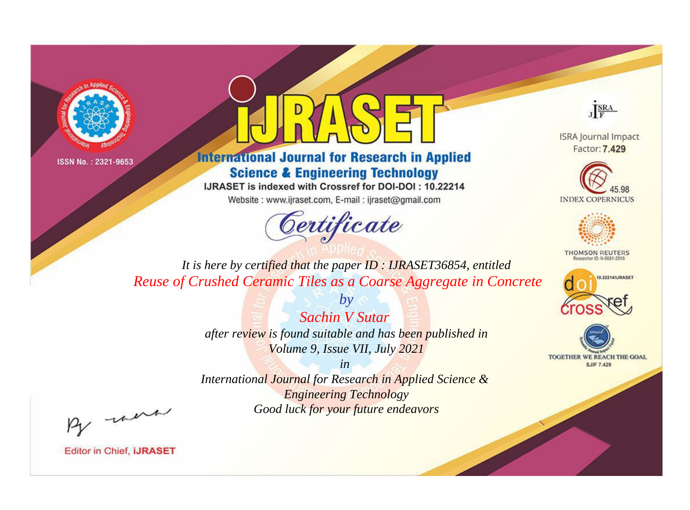



**International Journal for Research in Applied Science & Engineering Technology** 

IJRASET is indexed with Crossref for DOI-DOI: 10.22214

Website: www.ijraset.com, E-mail: ijraset@gmail.com



JERA

**ISRA Journal Impact** Factor: 7.429





**THOMSON REUTERS** 



TOGETHER WE REACH THE GOAL **SJIF 7.429** 

*It is here by certified that the paper ID : IJRASET36854, entitled Reuse of Crushed Ceramic Tiles as a Coarse Aggregate in Concrete*

> *Sachin V Sutar after review is found suitable and has been published in Volume 9, Issue VII, July 2021*

*by*

*in* 

*International Journal for Research in Applied Science & Engineering Technology Good luck for your future endeavors*

By morn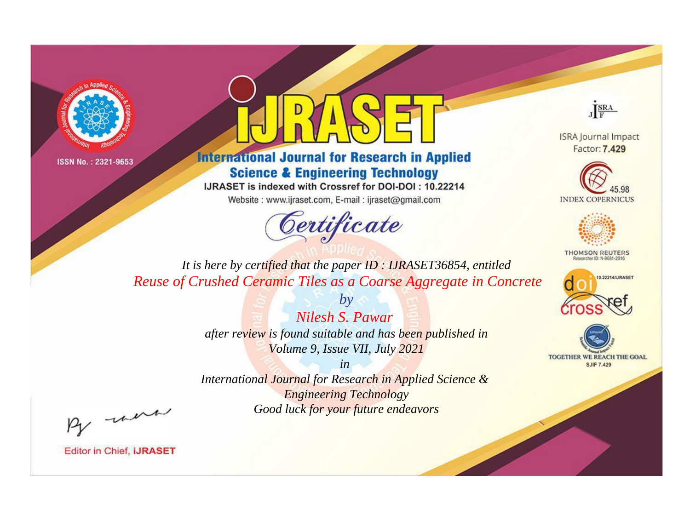



**International Journal for Research in Applied Science & Engineering Technology** 

IJRASET is indexed with Crossref for DOI-DOI: 10.22214

Website: www.ijraset.com, E-mail: ijraset@gmail.com



JERA

**ISRA Journal Impact** Factor: 7.429





**THOMSON REUTERS** 



TOGETHER WE REACH THE GOAL **SJIF 7.429** 

*It is here by certified that the paper ID : IJRASET36854, entitled Reuse of Crushed Ceramic Tiles as a Coarse Aggregate in Concrete*

> *Nilesh S. Pawar after review is found suitable and has been published in Volume 9, Issue VII, July 2021*

*by*

*in* 

*International Journal for Research in Applied Science & Engineering Technology Good luck for your future endeavors*

By morn